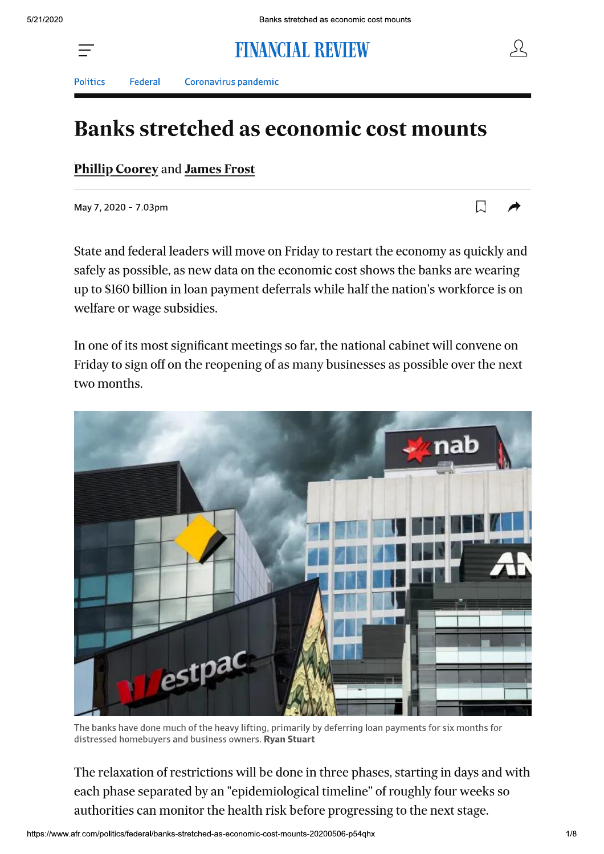# **FINANCIAL REVIEW**



 $\Box$ 

Politics

Coronavirus pandemic

## **Banks stretched as economic cost mounts**

Phillip Coorey and James Frost

Federal

May 7, 2020 - 7.03pm

State and federal leaders will move on Friday to restart the economy as quickly and safely as possible, as new data on the economic cost shows the banks are wearing up to \$160 billion in loan payment deferrals while half the nation's workforce is on welfare or wage subsidies.

In one of its most significant meetings so far, the national cabinet will convene on Friday to sign off on the reopening of as many businesses as possible over the next two months.



The banks have done much of the heavy lifting, primarily by deferring loan payments for six months for distressed homebuyers and business owners. Ryan Stuart

The relaxation of restrictions will be done in three phases, starting in days and with each phase separated by an "epidemiological timeline" of roughly four weeks so authorities can monitor the health risk before progressing to the next stage.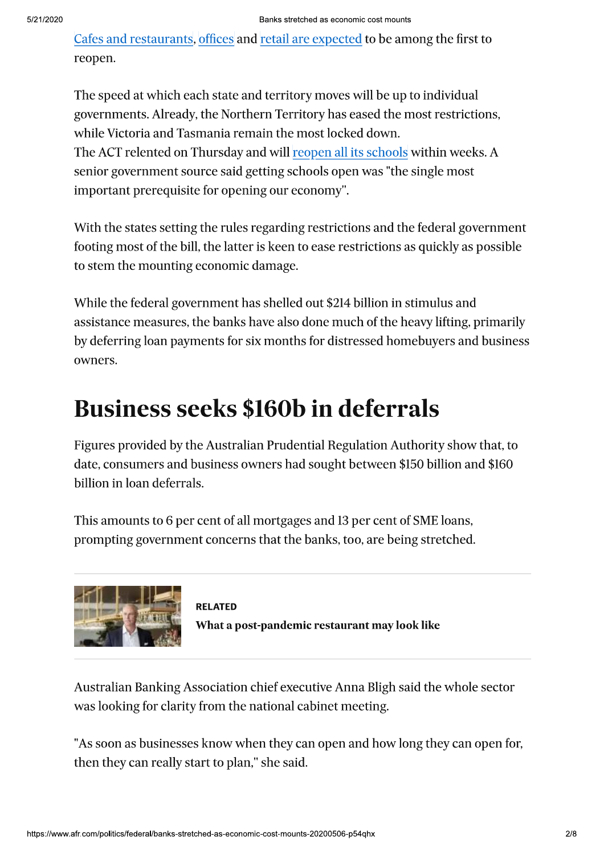Cafes and restaurants, offices and retail are expected to be among the first to reopen.

The speed at which each state and territory moves will be up to individual governments. Already, the Northern Territory has eased the most restrictions, while Victoria and Tasmania remain the most locked down. The ACT relented on Thursday and will reopen all its schools within weeks. A senior government source said getting schools open was "the single most important prerequisite for opening our economy".

With the states setting the rules regarding restrictions and the federal government footing most of the bill, the latter is keen to ease restrictions as quickly as possible to stem the mounting economic damage.

While the federal government has shelled out \$214 billion in stimulus and assistance measures, the banks have also done much of the heavy lifting, primarily by deferring loan payments for six months for distressed homebuyers and business owners.

## **Business seeks \$160b in deferrals**

Figures provided by the Australian Prudential Regulation Authority show that, to date, consumers and business owners had sought between \$150 billion and \$160 billion in loan deferrals.

This amounts to 6 per cent of all mortgages and 13 per cent of SME loans, prompting government concerns that the banks, too, are being stretched.



**RELATED** What a post-pandemic restaurant may look like

Australian Banking Association chief executive Anna Bligh said the whole sector was looking for clarity from the national cabinet meeting.

"As soon as businesses know when they can open and how long they can open for, then they can really start to plan," she said.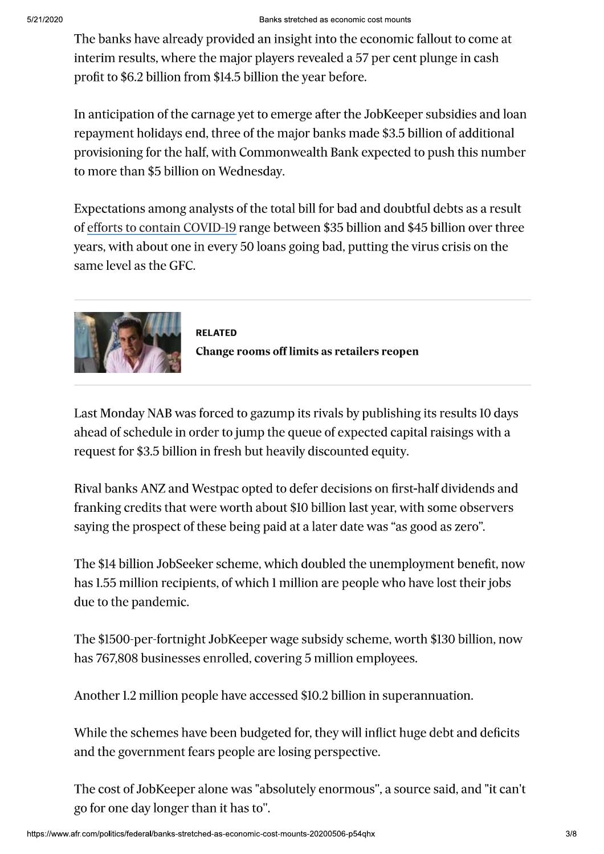The banks have already provided an insight into the economic fallout to come at interim results, where the major players revealed a 57 per cent plunge in cash profit to \$6.2 billion from \$14.5 billion the year before.

In anticipation of the carnage yet to emerge after the JobKeeper subsidies and loan repayment holidays end, three of the major banks made \$3.5 billion of additional provisioning for the half, with Commonwealth Bank expected to push this number to more than \$5 billion on Wednesday.

Expectations among analysts of the total bill for bad and doubtful debts as a result of efforts to contain COVID-19 range between \$35 billion and \$45 billion over three years, with about one in every 50 loans going bad, putting the virus crisis on the same level as the GFC.



**RELATED Change rooms off limits as retailers reopen** 

Last Monday NAB was forced to gazump its rivals by publishing its results 10 days ahead of schedule in order to jump the queue of expected capital raisings with a request for \$3.5 billion in fresh but heavily discounted equity.

Rival banks ANZ and Westpac opted to defer decisions on first-half dividends and franking credits that were worth about \$10 billion last year, with some observers saying the prospect of these being paid at a later date was "as good as zero".

The \$14 billion JobSeeker scheme, which doubled the unemployment benefit, now has 1.55 million recipients, of which 1 million are people who have lost their jobs due to the pandemic.

The \$1500-per-fortnight JobKeeper wage subsidy scheme, worth \$130 billion, now has 767,808 businesses enrolled, covering 5 million employees.

Another 1.2 million people have accessed \$10.2 billion in superannuation.

While the schemes have been budgeted for, they will inflict huge debt and deficits and the government fears people are losing perspective.

The cost of JobKeeper alone was "absolutely enormous", a source said, and "it can't go for one day longer than it has to".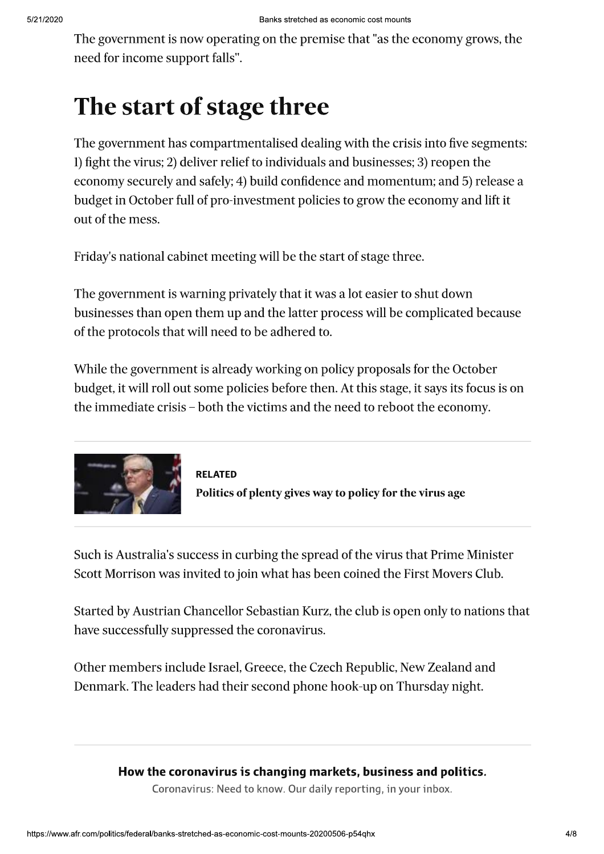The government is now operating on the premise that "as the economy grows, the need for income support falls".

# The start of stage three

The government has compartmentalised dealing with the crisis into five segments: 1) fight the virus; 2) deliver relief to individuals and businesses; 3) reopen the economy securely and safely; 4) build confidence and momentum; and 5) release a budget in October full of pro-investment policies to grow the economy and lift it out of the mess.

Friday's national cabinet meeting will be the start of stage three.

The government is warning privately that it was a lot easier to shut down businesses than open them up and the latter process will be complicated because of the protocols that will need to be adhered to.

While the government is already working on policy proposals for the October budget, it will roll out some policies before then. At this stage, it says its focus is on the immediate crisis – both the victims and the need to reboot the economy.



**RELATED** Politics of plenty gives way to policy for the virus age

Such is Australia's success in curbing the spread of the virus that Prime Minister Scott Morrison was invited to join what has been coined the First Movers Club.

Started by Austrian Chancellor Sebastian Kurz, the club is open only to nations that have successfully suppressed the coronavirus.

Other members include Israel, Greece, the Czech Republic, New Zealand and Denmark. The leaders had their second phone hook-up on Thursday night.

#### How the coronavirus is changing markets, business and politics.

Coronavirus: Need to know. Our daily reporting, in your inbox.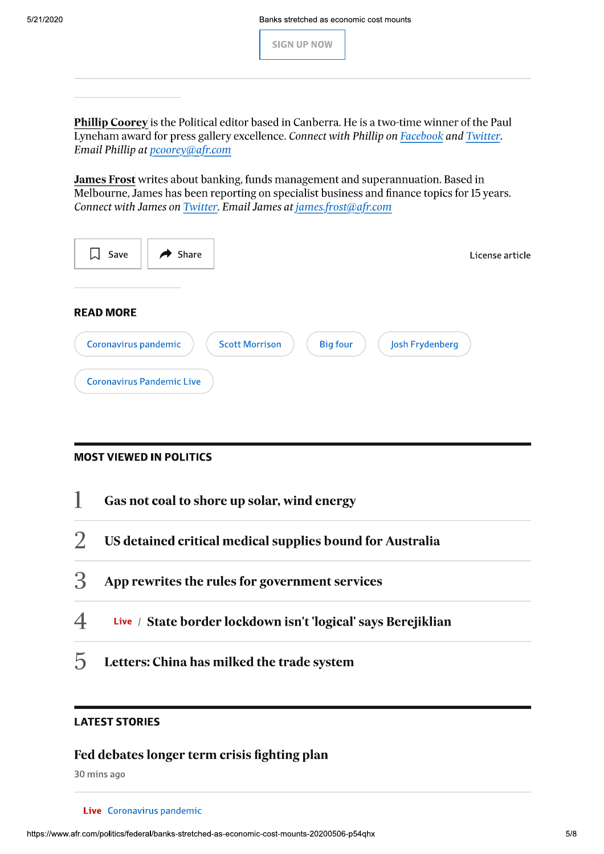Banks stretched as economic cost mounts

**SIGN UP NOW** 

Phillip Coorey is the Political editor based in Canberra. He is a two-time winner of the Paul Lyneham award for press gallery excellence. Connect with Phillip on Facebook and Twitter. Email Phillip at *pcoorey@afr.com* 

James Frost writes about banking, funds management and superannuation. Based in Melbourne, James has been reporting on specialist business and finance topics for 15 years. Connect with James on Twitter. Email James at *james.frost@afr.com* 

| Share<br>Save<br>$\rightarrow$                                                                                          | License article |
|-------------------------------------------------------------------------------------------------------------------------|-----------------|
| <b>READ MORE</b>                                                                                                        |                 |
| <b>Scott Morrison</b><br><b>Big four</b><br>Josh Frydenberg<br>Coronavirus pandemic<br><b>Coronavirus Pandemic Live</b> |                 |

#### **MOST VIEWED IN POLITICS**



#### **LATEST STORIES**

#### Fed debates longer term crisis fighting plan

30 mins ago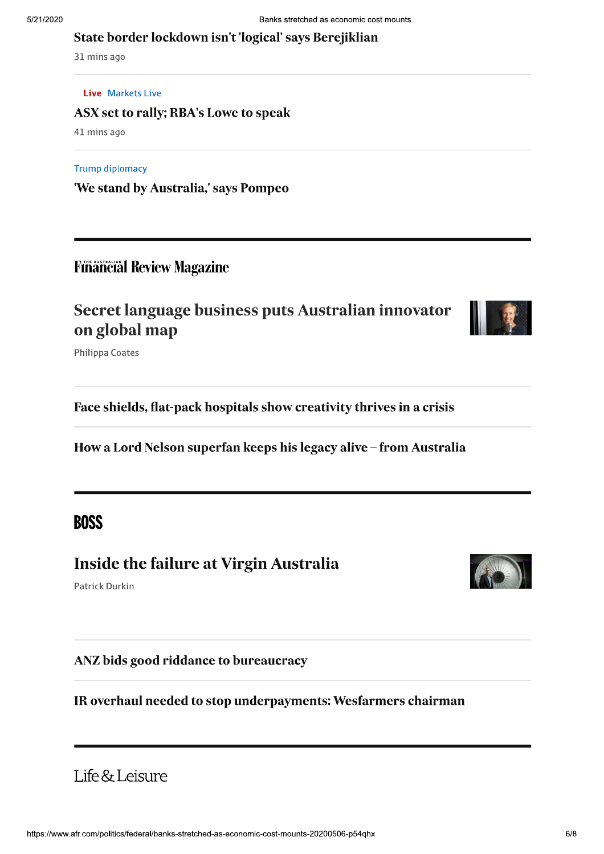#### State border lockdown isn't 'logical' says Berejiklian

31 mins ago

#### **Live** Markets Live

ASX set to rally; RBA's Lowe to speak

41 mins ago

#### **Trump diplomacy**

'We stand by Australia,' says Pompeo

### **Financial Review Magazine**

## Secret language business puts Australian innovator on global map



**Philippa Coates** 

Face shields, flat-pack hospitals show creativity thrives in a crisis

How a Lord Nelson superfan keeps his legacy alive - from Australia

## **BOSS**

### **Inside the failure at Virgin Australia**

Patrick Durkin

ANZ bids good riddance to bureaucracy

IR overhaul needed to stop underpayments: Wesfarmers chairman

## Life & Leisure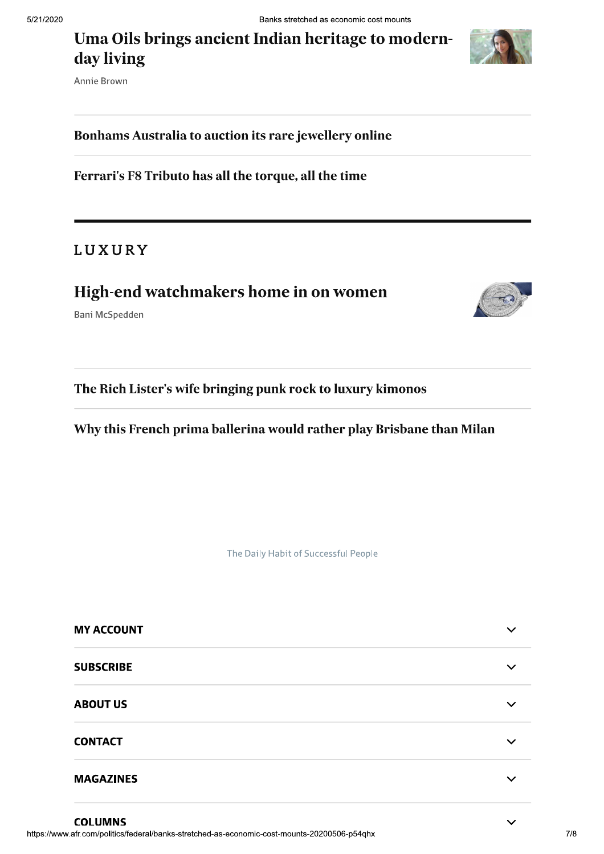Uma Oils brings ancient Indian heritage to modernday living



#### Bonhams Australia to auction its rare jewellery online

Ferrari's F8 Tributo has all the torque, all the time

### LUXURY

## High-end watchmakers home in on women

Bani McSpedden



Why this French prima ballerina would rather play Brisbane than Milan

The Daily Habit of Successful People

| <b>MY ACCOUNT</b> | $\checkmark$ |
|-------------------|--------------|
| <b>SUBSCRIBE</b>  | $\checkmark$ |
| <b>ABOUT US</b>   | $\checkmark$ |
| <b>CONTACT</b>    | $\checkmark$ |
| <b>MAGAZINES</b>  | $\checkmark$ |

**COLUMNS**